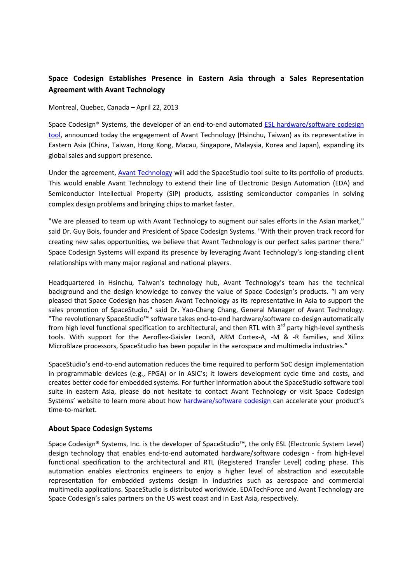## Space Codesign Establishes Presence in Eastern Asia through a Sales Representation Agreement with Avant Technology

## Montreal, Quebec, Canada – April 22, 2013

Space Codesign® Systems, the developer of an end-to-end automated ESL hardware/software codesign tool, announced today the engagement of Avant Technology (Hsinchu, Taiwan) as its representative in Eastern Asia (China, Taiwan, Hong Kong, Macau, Singapore, Malaysia, Korea and Japan), expanding its global sales and support presence.

Under the agreement, Avant Technology will add the SpaceStudio tool suite to its portfolio of products. This would enable Avant Technology to extend their line of Electronic Design Automation (EDA) and Semiconductor Intellectual Property (SIP) products, assisting semiconductor companies in solving complex design problems and bringing chips to market faster.

"We are pleased to team up with Avant Technology to augment our sales efforts in the Asian market," said Dr. Guy Bois, founder and President of Space Codesign Systems. "With their proven track record for creating new sales opportunities, we believe that Avant Technology is our perfect sales partner there." Space Codesign Systems will expand its presence by leveraging Avant Technology's long-standing client relationships with many major regional and national players.

Headquartered in Hsinchu, Taiwan's technology hub, Avant Technology's team has the technical background and the design knowledge to convey the value of Space Codesign's products. "I am very pleased that Space Codesign has chosen Avant Technology as its representative in Asia to support the sales promotion of SpaceStudio," said Dr. Yao-Chang Chang, General Manager of Avant Technology. "The revolutionary SpaceStudio™ software takes end-to-end hardware/software co-design automatically from high level functional specification to architectural, and then RTL with  $3<sup>rd</sup>$  party high-level synthesis tools. With support for the Aeroflex-Gaisler Leon3, ARM Cortex-A, -M & -R families, and Xilinx MicroBlaze processors, SpaceStudio has been popular in the aerospace and multimedia industries."

SpaceStudio's end-to-end automation reduces the time required to perform SoC design implementation in programmable devices (e.g., FPGA) or in ASIC's; it lowers development cycle time and costs, and creates better code for embedded systems. For further information about the SpaceStudio software tool suite in eastern Asia, please do not hesitate to contact Avant Technology or visit Space Codesign Systems' website to learn more about how hardware/software codesign can accelerate your product's time-to-market.

## About Space Codesign Systems

Space Codesign® Systems, Inc. is the developer of SpaceStudio™, the only ESL (Electronic System Level) design technology that enables end-to-end automated hardware/software codesign - from high-level functional specification to the architectural and RTL (Registered Transfer Level) coding phase. This automation enables electronics engineers to enjoy a higher level of abstraction and executable representation for embedded systems design in industries such as aerospace and commercial multimedia applications. SpaceStudio is distributed worldwide. EDATechForce and Avant Technology are Space Codesign's sales partners on the US west coast and in East Asia, respectively.